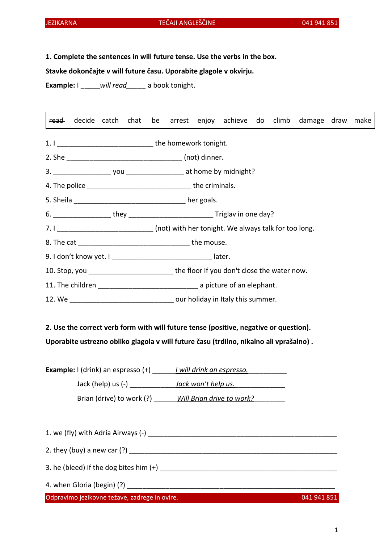# JEZIKARNA TEČAJI ANGLEŠČINE 041 941 851

1. Complete the sentences in will future tense. Use the verbs in the box.

Stavke dokončajte v will future času. Uporabite glagole v okvirju.

Example: I will read a book tonight.

read decide catch chat be arrest enjoy achieve do climb damage draw make

1. I can be the homework tonight.

2. She are not controlled a set of the state of the state (not) dinner.

3. \_\_\_\_\_\_\_\_\_\_\_\_\_\_\_ you \_\_\_\_\_\_\_\_\_\_\_\_\_\_\_ at home by midnight?

4. The police  $\qquad \qquad$  the criminals.

5. Sheila \_\_\_\_\_\_\_\_\_\_\_\_\_\_\_\_\_\_\_\_\_\_\_\_\_\_\_\_\_\_\_\_\_ her goals.

6. \_\_\_\_\_\_\_\_\_\_\_\_\_\_\_ they \_\_\_\_\_\_\_\_\_\_\_\_\_\_\_\_\_\_\_\_\_\_ Triglav in one day?

7. I consider the same of the same (not) with her tonight. We always talk for too long.

8. The cat \_\_\_\_\_\_\_\_\_\_\_\_\_\_\_\_\_\_\_\_\_\_\_\_\_\_\_\_\_ the mouse.

9. I don't know yet. I contained the later.

10. Stop, you **the floor if you don't close the water now.** 

11. The children **11.** The children **11.** The children **11.** The children **11.** The children **11.** The children **11.** The children **11.** The children **11.** The children **11.** The children **11.** The children **11.** The child

12. We **Example 20** and the summer our holiday in Italy this summer.

2. Use the correct verb form with will future tense (positive, negative or question).

Uporabite ustrezno obliko glagola v will future času (trdilno, nikalno ali vprašalno) .

| <b>Example:</b> $\vert$ (drink) an espresso $\vert + \rangle$ | I will drink an espresso. |
|---------------------------------------------------------------|---------------------------|
| Jack (help) us $(-)$                                          | Jack won't help us.       |
| Brian (drive) to work (?)                                     | Will Brian drive to work? |

1. we (fly) with Adria Airways (-) \_\_\_\_\_\_\_\_\_\_\_\_\_\_\_\_\_\_\_\_\_\_\_\_\_\_\_\_\_\_\_\_\_\_\_\_\_\_\_\_\_\_\_\_\_\_\_\_\_ 2. they (buy) a new car  $(?)$ 3. he (bleed) if the dog bites him  $(+)$ 4. when Gloria (begin)  $(?)$ 

Odpravimo jezikovne težave, zadrege in ovire. 041 941 851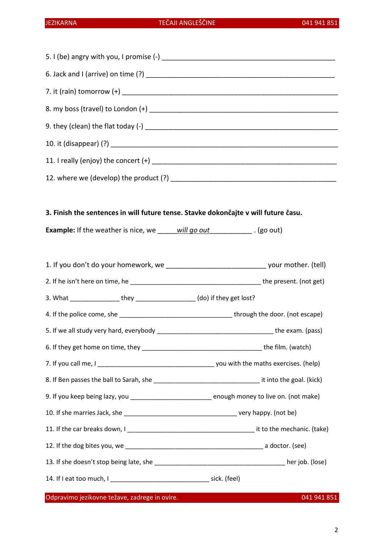### 3. Finish the sentences in will future tense. Stavke dokončajte v will future času.

Example: If the weather is nice, we will go out \_\_\_\_\_\_\_\_\_\_\_\_\_\_\_\_\_\_\_\_\_\_\_\_\_\_\_\_\_\_\_\_\_

1. If you don't do your homework, we \_\_\_\_\_\_\_\_\_\_\_\_\_\_\_\_\_\_\_\_\_\_\_\_\_\_ your mother. (tell)

2. If he isn't here on time, he \_\_\_\_\_\_\_\_\_\_\_\_\_\_\_\_\_\_\_\_\_\_\_\_\_\_\_\_\_\_\_\_\_\_\_\_\_ the present. (not get)

3. What \_\_\_\_\_\_\_\_\_\_\_\_\_\_ they \_\_\_\_\_\_\_\_\_\_\_\_\_\_\_\_\_ (do) if they get lost?

4. If the police come, she **and the set of the set of through the door.** (not escape)

5. If we all study very hard, everybody \_\_\_\_\_\_\_\_\_\_\_\_\_\_\_\_\_\_\_\_\_\_\_\_\_\_\_\_\_\_\_\_\_ the exam. (pass)

6. If they get home on time, they \_\_\_\_\_\_\_\_\_\_\_\_\_\_\_\_\_\_\_\_\_\_\_\_\_\_\_\_\_\_\_\_\_\_ the film. (watch)

7. If you call me, I \_\_\_\_\_\_\_\_\_\_\_\_\_\_\_\_\_\_\_\_\_\_\_\_\_\_\_\_\_\_\_\_\_ you with the maths exercises. (help)

8. If Ben passes the ball to Sarah, she \_\_\_\_\_\_\_\_\_\_\_\_\_\_\_\_\_\_\_\_\_\_\_\_\_\_\_\_\_\_ it into the goal. (kick)

9. If you keep being lazy, you \_\_\_\_\_\_\_\_\_\_\_\_\_\_\_\_\_\_\_\_\_\_\_\_\_\_\_\_ enough money to live on. (not make)

10. If she marries Jack, she \_\_\_\_\_\_\_\_\_\_\_\_\_\_\_\_\_\_\_\_\_\_\_\_\_\_\_\_\_\_\_\_ very happy. (not be)

11. If the car breaks down, I can be a state of the mechanic. (take)

12. If the dog bites you, we **we are a set of the dog bites** you, we

13. If she doesn't stop being late, she \_\_\_\_\_\_\_\_\_\_\_\_\_\_\_\_\_\_\_\_\_\_\_\_\_\_\_\_\_\_\_\_\_\_\_\_\_ her job. (lose)

14. If I eat too much, I \_\_\_\_\_\_\_\_\_\_\_\_\_\_\_\_\_\_\_\_\_\_\_\_\_\_\_\_ sick. (feel)

Odpravimo jezikovne težave, zadrege in ovire. 041 941 851